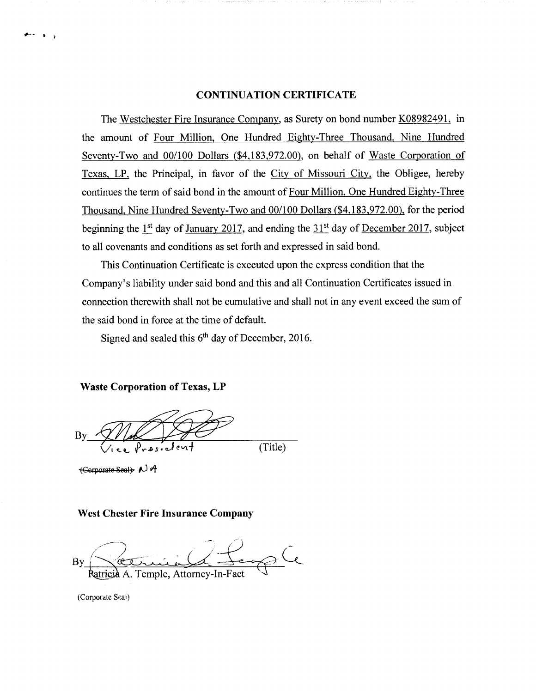## CONTINUATION CERTIFICATE

The Westchester Fire Insurance Company, as Surety on bond number K08982491, in the amount of Four Million, One Hundred Eighty-Three Thousand, Nine Hundred Seventy-Two and 00/100 Dollars (\$4,183,972.00), on behalf of Waste Corporation of Texas, LP, the Principal, in favor of the City of Missouri City, the Obligee, hereby continues the term of said bond in the amount of Four Million, One Hundred Eighty-Three Thousand, Nine Hundred Seventy-Two and 00/100 Dollars (\$4,183,972.00), for the period beginning the  $1<sup>st</sup>$  day of January 2017, and ending the  $31<sup>st</sup>$  day of December 2017, subject to all covenants and conditions as set forth and expressed in said bond.

This Continuation Certificate is executed upon the express condition that the Company's liability under said bond and this and all Continuation Certificates issued in connection therewith shall not be cumulative and shall not in any event exceed the sum of the said bond in force at the time of default.

Signed and sealed this  $6<sup>th</sup>$  day of December, 2016.

Waste Corporation of Texas, LP

 $(Title)$ 

 $+$  Corporate Seat  $\rightarrow$   $\rightarrow$   $\rightarrow$ 

### West Chester Fire Insurance Company

 $Bv$ A. Temple, Attorney-In-Fact

(Corporate Seal)